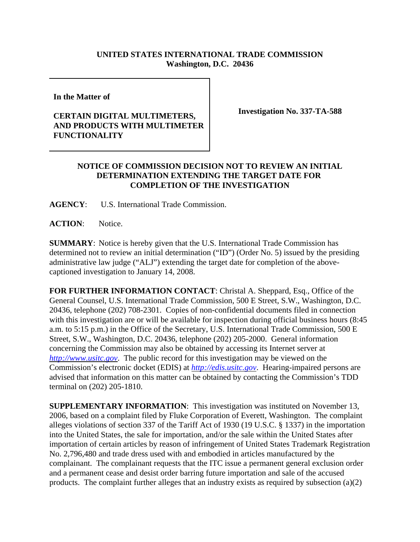## **UNITED STATES INTERNATIONAL TRADE COMMISSION Washington, D.C. 20436**

**In the Matter of** 

## **CERTAIN DIGITAL MULTIMETERS, AND PRODUCTS WITH MULTIMETER FUNCTIONALITY**

**Investigation No. 337-TA-588**

## **NOTICE OF COMMISSION DECISION NOT TO REVIEW AN INITIAL DETERMINATION EXTENDING THE TARGET DATE FOR COMPLETION OF THE INVESTIGATION**

**AGENCY**: U.S. International Trade Commission.

**ACTION**: Notice.

**SUMMARY**: Notice is hereby given that the U.S. International Trade Commission has determined not to review an initial determination ("ID") (Order No. 5) issued by the presiding administrative law judge ("ALJ") extending the target date for completion of the abovecaptioned investigation to January 14, 2008.

**FOR FURTHER INFORMATION CONTACT**: Christal A. Sheppard, Esq., Office of the General Counsel, U.S. International Trade Commission, 500 E Street, S.W., Washington, D.C. 20436, telephone (202) 708-2301. Copies of non-confidential documents filed in connection with this investigation are or will be available for inspection during official business hours (8:45 a.m. to 5:15 p.m.) in the Office of the Secretary, U.S. International Trade Commission, 500 E Street, S.W., Washington, D.C. 20436, telephone (202) 205-2000. General information concerning the Commission may also be obtained by accessing its Internet server at *http://www.usitc.gov*. The public record for this investigation may be viewed on the Commission's electronic docket (EDIS) at *http://edis.usitc.gov*. Hearing-impaired persons are advised that information on this matter can be obtained by contacting the Commission's TDD terminal on (202) 205-1810.

**SUPPLEMENTARY INFORMATION**: This investigation was instituted on November 13, 2006, based on a complaint filed by Fluke Corporation of Everett, Washington. The complaint alleges violations of section 337 of the Tariff Act of 1930 (19 U.S.C. § 1337) in the importation into the United States, the sale for importation, and/or the sale within the United States after importation of certain articles by reason of infringement of United States Trademark Registration No. 2,796,480 and trade dress used with and embodied in articles manufactured by the complainant. The complainant requests that the ITC issue a permanent general exclusion order and a permanent cease and desist order barring future importation and sale of the accused products. The complaint further alleges that an industry exists as required by subsection (a)(2)